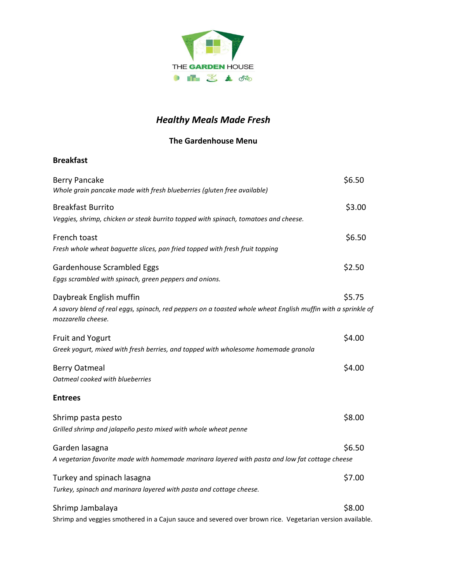

## *Healthy Meals Made Fresh*

### **The Gardenhouse Menu**

### **Breakfast**

| <b>Berry Pancake</b><br>Whole grain pancake made with fresh blueberries (gluten free available)                                                               | \$6.50 |
|---------------------------------------------------------------------------------------------------------------------------------------------------------------|--------|
| <b>Breakfast Burrito</b><br>Veggies, shrimp, chicken or steak burrito topped with spinach, tomatoes and cheese.                                               | \$3.00 |
| French toast<br>Fresh whole wheat baguette slices, pan fried topped with fresh fruit topping                                                                  | \$6.50 |
| Gardenhouse Scrambled Eggs<br>Eggs scrambled with spinach, green peppers and onions.                                                                          | \$2.50 |
| Daybreak English muffin<br>A savory blend of real eggs, spinach, red peppers on a toasted whole wheat English muffin with a sprinkle of<br>mozzarella cheese. | \$5.75 |
| <b>Fruit and Yogurt</b><br>Greek yogurt, mixed with fresh berries, and topped with wholesome homemade granola                                                 | \$4.00 |
| <b>Berry Oatmeal</b><br>Oatmeal cooked with blueberries                                                                                                       | \$4.00 |
| <b>Entrees</b>                                                                                                                                                |        |
| Shrimp pasta pesto<br>Grilled shrimp and jalapeño pesto mixed with whole wheat penne                                                                          | \$8.00 |
| Garden lasagna<br>A vegetarian favorite made with homemade marinara layered with pasta and low fat cottage cheese                                             | \$6.50 |
| Turkey and spinach lasagna<br>Turkey, spinach and marinara layered with pasta and cottage cheese.                                                             | \$7.00 |
| Shrimp Jambalaya<br>Shrimp and veggies smothered in a Cajun sauce and severed over brown rice. Vegetarian version available.                                  | \$8.00 |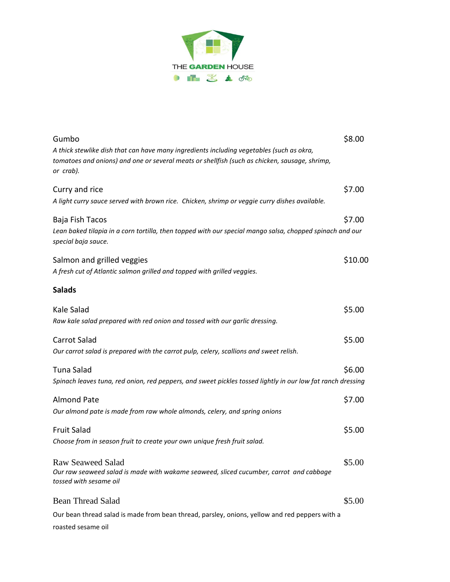

| Gumbo<br>A thick stewlike dish that can have many ingredients including vegetables (such as okra,<br>tomatoes and onions) and one or several meats or shellfish (such as chicken, sausage, shrimp,<br>or crab). | \$8.00  |
|-----------------------------------------------------------------------------------------------------------------------------------------------------------------------------------------------------------------|---------|
| Curry and rice<br>A light curry sauce served with brown rice. Chicken, shrimp or veggie curry dishes available.                                                                                                 | \$7.00  |
| Baja Fish Tacos<br>Lean baked tilapia in a corn tortilla, then topped with our special mango salsa, chopped spinach and our<br>special baja sauce.                                                              | \$7.00  |
| Salmon and grilled veggies<br>A fresh cut of Atlantic salmon grilled and topped with grilled veggies.                                                                                                           | \$10.00 |
| <b>Salads</b>                                                                                                                                                                                                   |         |
| Kale Salad<br>Raw kale salad prepared with red onion and tossed with our garlic dressing.                                                                                                                       | \$5.00  |
| <b>Carrot Salad</b><br>Our carrot salad is prepared with the carrot pulp, celery, scallions and sweet relish.                                                                                                   | \$5.00  |
| Tuna Salad<br>Spinach leaves tuna, red onion, red peppers, and sweet pickles tossed lightly in our low fat ranch dressing                                                                                       | \$6.00  |
| <b>Almond Pate</b><br>Our almond pate is made from raw whole almonds, celery, and spring onions                                                                                                                 | \$7.00  |
| <b>Fruit Salad</b><br>Choose from in season fruit to create your own unique fresh fruit salad.                                                                                                                  | \$5.00  |
| <b>Raw Seaweed Salad</b><br>Our raw seaweed salad is made with wakame seaweed, sliced cucumber, carrot and cabbage<br>tossed with sesame oil                                                                    | \$5.00  |
| <b>Bean Thread Salad</b>                                                                                                                                                                                        | \$5.00  |
| Our bean thread salad is made from bean thread, parsley, onions, yellow and red peppers with a<br>roasted sesame oil                                                                                            |         |